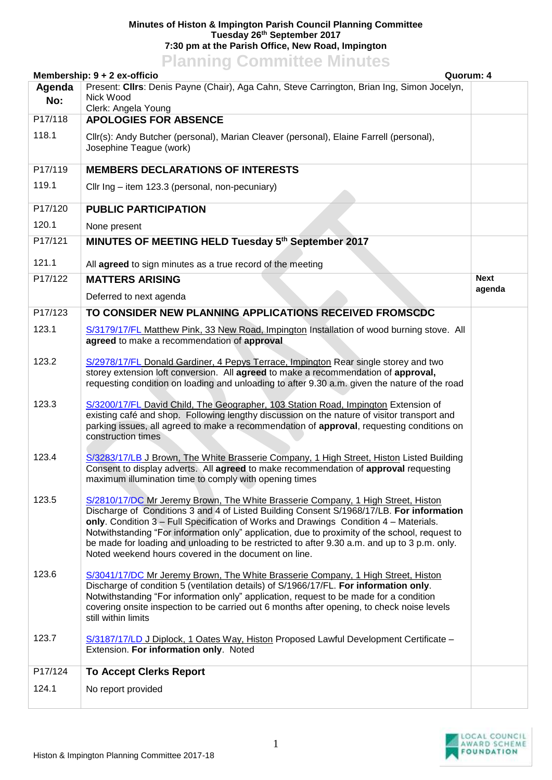## **Minutes of Histon & Impington Parish Council Planning Committee Tuesday 26th September 2017 7:30 pm at the Parish Office, New Road, Impington**

## **Planning Committee Minutes**

|               | Membership: 9 + 2 ex-officio<br>Quorum: 4                                                                                                                                                                                                                                                                                                                                                                                                                                                                                       |                       |  |
|---------------|---------------------------------------------------------------------------------------------------------------------------------------------------------------------------------------------------------------------------------------------------------------------------------------------------------------------------------------------------------------------------------------------------------------------------------------------------------------------------------------------------------------------------------|-----------------------|--|
| Agenda<br>No: | Present: Cllrs: Denis Payne (Chair), Aga Cahn, Steve Carrington, Brian Ing, Simon Jocelyn,<br>Nick Wood<br>Clerk: Angela Young                                                                                                                                                                                                                                                                                                                                                                                                  |                       |  |
| P17/118       | <b>APOLOGIES FOR ABSENCE</b>                                                                                                                                                                                                                                                                                                                                                                                                                                                                                                    |                       |  |
| 118.1         | Cllr(s): Andy Butcher (personal), Marian Cleaver (personal), Elaine Farrell (personal),<br>Josephine Teague (work)                                                                                                                                                                                                                                                                                                                                                                                                              |                       |  |
| P17/119       | <b>MEMBERS DECLARATIONS OF INTERESTS</b>                                                                                                                                                                                                                                                                                                                                                                                                                                                                                        |                       |  |
| 119.1         | Cllr Ing - item 123.3 (personal, non-pecuniary)                                                                                                                                                                                                                                                                                                                                                                                                                                                                                 |                       |  |
| P17/120       | <b>PUBLIC PARTICIPATION</b>                                                                                                                                                                                                                                                                                                                                                                                                                                                                                                     |                       |  |
| 120.1         | None present                                                                                                                                                                                                                                                                                                                                                                                                                                                                                                                    |                       |  |
| P17/121       | MINUTES OF MEETING HELD Tuesday 5th September 2017                                                                                                                                                                                                                                                                                                                                                                                                                                                                              |                       |  |
| 121.1         | All agreed to sign minutes as a true record of the meeting                                                                                                                                                                                                                                                                                                                                                                                                                                                                      |                       |  |
| P17/122       | <b>MATTERS ARISING</b>                                                                                                                                                                                                                                                                                                                                                                                                                                                                                                          | <b>Next</b><br>agenda |  |
|               | Deferred to next agenda                                                                                                                                                                                                                                                                                                                                                                                                                                                                                                         |                       |  |
| P17/123       | TO CONSIDER NEW PLANNING APPLICATIONS RECEIVED FROMSCDC                                                                                                                                                                                                                                                                                                                                                                                                                                                                         |                       |  |
| 123.1         | S/3179/17/FL Matthew Pink, 33 New Road, Impington Installation of wood burning stove. All<br>agreed to make a recommendation of approval                                                                                                                                                                                                                                                                                                                                                                                        |                       |  |
| 123.2         | S/2978/17/FL Donald Gardiner, 4 Pepys Terrace, Impington Rear single storey and two<br>storey extension loft conversion. All agreed to make a recommendation of approval,<br>requesting condition on loading and unloading to after 9.30 a.m. given the nature of the road                                                                                                                                                                                                                                                      |                       |  |
| 123.3         | S/3200/17/FL David Child, The Geographer, 103 Station Road, Impington Extension of<br>existing café and shop. Following lengthy discussion on the nature of visitor transport and<br>parking issues, all agreed to make a recommendation of approval, requesting conditions on<br>construction times                                                                                                                                                                                                                            |                       |  |
| 123.4         | S/3283/17/LB J Brown, The White Brasserie Company, 1 High Street, Histon Listed Building<br>Consent to display adverts. All agreed to make recommendation of approval requesting<br>maximum illumination time to comply with opening times                                                                                                                                                                                                                                                                                      |                       |  |
| 123.5         | S/2810/17/DC Mr Jeremy Brown, The White Brasserie Company, 1 High Street, Histon<br>Discharge of Conditions 3 and 4 of Listed Building Consent S/1968/17/LB. For information<br>only. Condition 3 - Full Specification of Works and Drawings Condition 4 - Materials.<br>Notwithstanding "For information only" application, due to proximity of the school, request to<br>be made for loading and unloading to be restricted to after 9.30 a.m. and up to 3 p.m. only.<br>Noted weekend hours covered in the document on line. |                       |  |
| 123.6         | S/3041/17/DC Mr Jeremy Brown, The White Brasserie Company, 1 High Street, Histon<br>Discharge of condition 5 (ventilation details) of S/1966/17/FL. For information only.<br>Notwithstanding "For information only" application, request to be made for a condition<br>covering onsite inspection to be carried out 6 months after opening, to check noise levels<br>still within limits                                                                                                                                        |                       |  |
| 123.7         | S/3187/17/LD J Diplock, 1 Oates Way, Histon Proposed Lawful Development Certificate -<br>Extension. For information only. Noted                                                                                                                                                                                                                                                                                                                                                                                                 |                       |  |
| P17/124       | <b>To Accept Clerks Report</b>                                                                                                                                                                                                                                                                                                                                                                                                                                                                                                  |                       |  |
| 124.1         | No report provided                                                                                                                                                                                                                                                                                                                                                                                                                                                                                                              |                       |  |